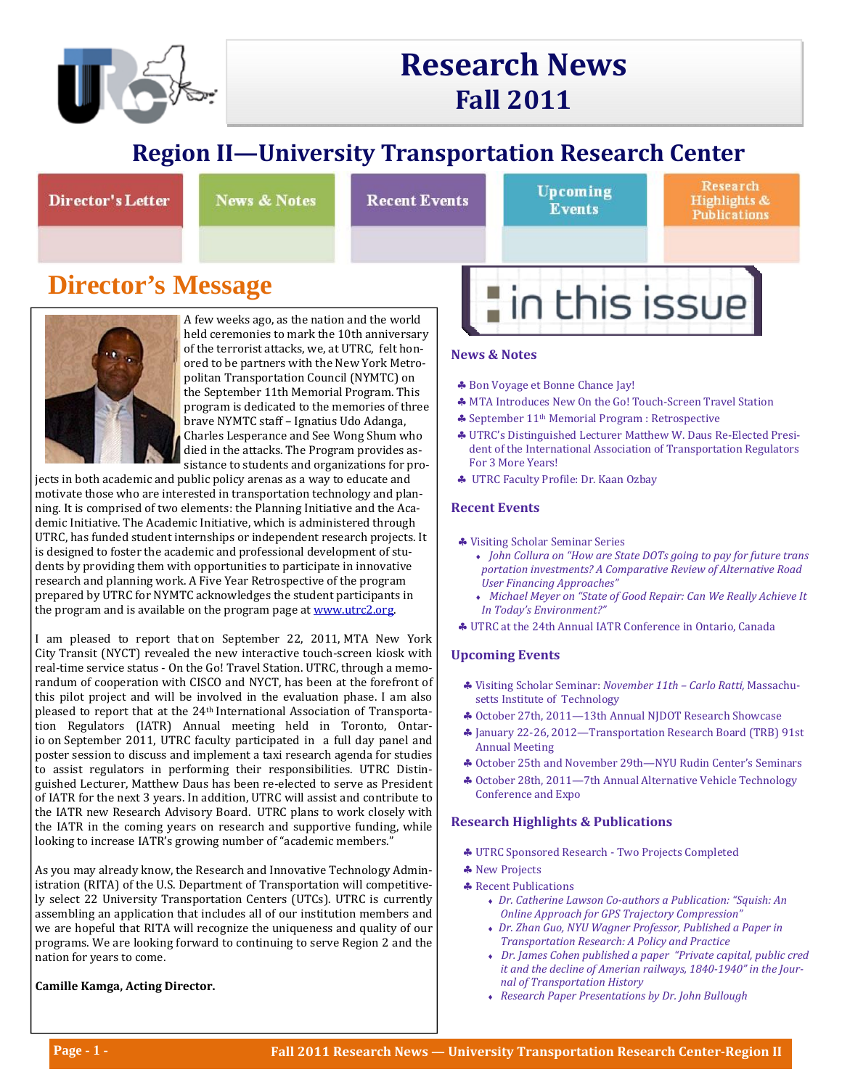

# **Research News Fall 2011**

## **Region II—University Transportation Research Center**

Director's Letter

**News & Notes** 

**Recent Events** 

Upcoming **Events** 

Research Highlights & **Publications** 

# **Director's Message**



jects in both academic and public policy arenas as a way to educate and motivate those who are interested in transportation technology and planning. It is comprised of two elements: the Planning Initiative and the Academic Initiative. The Academic Initiative, which is administered through UTRC, has funded student internships or independent research projects. It is designed to foster the academic and professional development of students by providing them with opportunities to participate in innovative research and planning work. A Five Year Retrospective of the program prepared by UTRC for NYMTC acknowledges the student participants in the program and is available on the program page at www.utrc2.org.

I am pleased to report that on September 22, 2011, MTA New York City Transit (NYCT) revealed the new interactive touch-screen kiosk with real-time service status - On the Go! Travel Station. UTRC, through a memorandum of cooperation with CISCO and NYCT, has been at the forefront of this pilot project and will be involved in the evaluation phase. I am also pleased to report that at the 24<sup>th</sup> International Association of Transportation Regulators (IATR) Annual meeting held in Toronto, Ontario on September 2011, UTRC faculty participated in a full day panel and poster session to discuss and implement a taxi research agenda for studies to assist regulators in performing their responsibilities. UTRC Distinguished Lecturer, Matthew Daus has been re-elected to serve as President of IATR for the next 3 years. In addition, UTRC will assist and contribute to the IATR new Research Advisory Board. UTRC plans to work closely with the IATR in the coming years on research and supportive funding, while looking to increase IATR's growing number of "academic members."

As you may already know, the Research and Innovative Technology Administration (RITA) of the U.S. Department of Transportation will competitively select 22 University Transportation Centers (UTCs). UTRC is currently assembling an application that includes all of our institution members and we are hopeful that RITA will recognize the uniqueness and quality of our programs. We are looking forward to continuing to serve Region 2 and the nation for years to come.

**Camille Kamga, Acting Director.**



### **News & Notes**

- **♣ Bon Voyage et Bonne Chance Jay!**
- \* MTA Introduces New On the Go! Touch-Screen Travel Station
- $\clubsuit$  September  $11<sup>th</sup>$  Memorial Program : Retrospective
- $\clubsuit$  UTRC's Distinguished Lecturer Matthew W. Daus Re-Elected President of the International Association of Transportation Regulators For 3 More Years!
- UTRC Faculty Proϐile: Dr. Kaan Ozbay

### **Recent Events**

- Visiting Scholar Seminar Series
	- *John Collura on "How are State DOTs going to pay for future trans portation investments? A Comparative Review of Alternative Road User Financing Approaches"*
	- *Michael Meyer on "State of Good Repair: Can We Really Achieve It In Today's Environment?"*
- UTRC at the 24th Annual IATR Conference in Ontario, Canada

#### **Upcoming Events**

- Visiting Scholar Seminar: *November 11th – Carlo Ratti,* Massachusetts Institute of Technology
- ◆ October 27th, 2011—13th Annual NJDOT Research Showcase
- January 22-26, 2012—Transportation Research Board (TRB) 91st Annual Meeting
- October 25th and November 29th—NYU Rudin Center's Seminars
- October 28th, 2011—7th Annual Alternative Vehicle Technology Conference and Expo

#### **Research Highlights & Publications**

- UTRC Sponsored Research - Two Projects Completed
- New Projects
- \* Recent Publications
	- *Dr. Catherine Lawson Co‐authors a Publication: "Squish: An Online Approach for GPS Trajectory Compression"*
	- *Dr. Zhan Guo, NYU Wagner Professor, Published a Paper in Transportation Research: A Policy and Practice*
	- *Dr. James Cohen published a paper "Private capital, public cred it and the decline of Amerian railways, 1840‐1940" in the Jour‐ nal of Transportation History*
	- *Research Paper Presentations by Dr. John Bullough*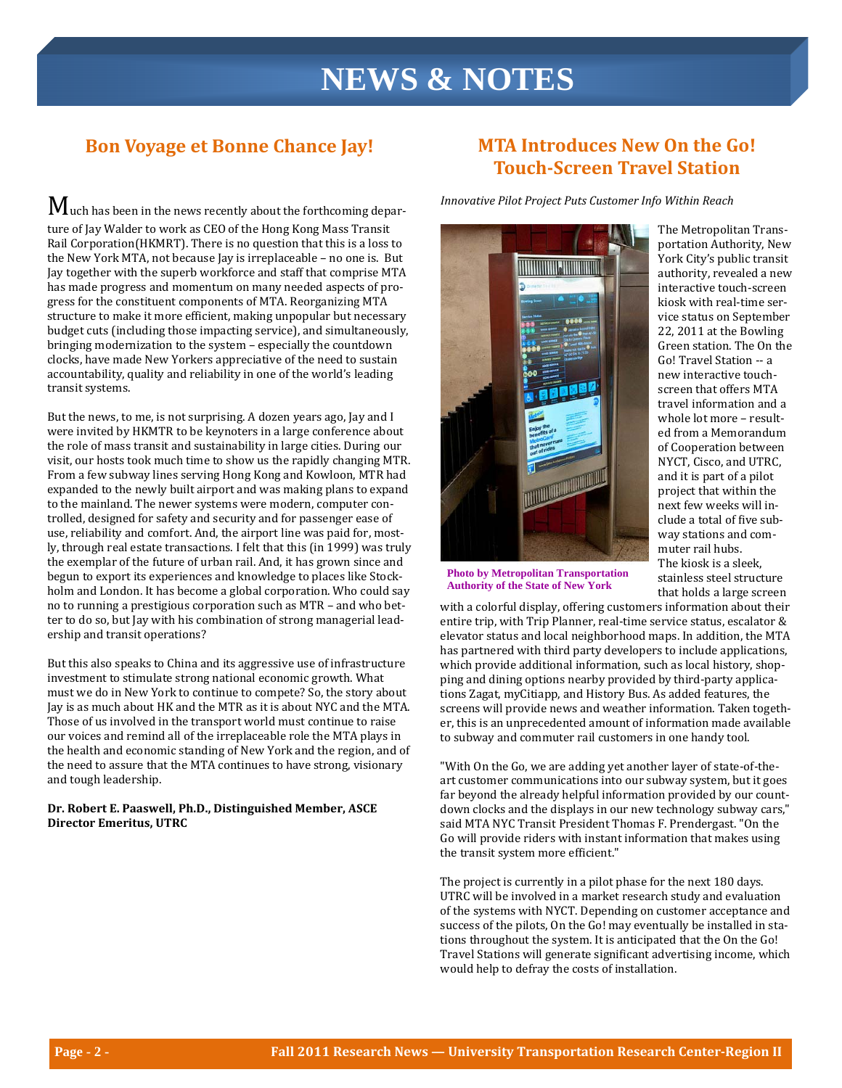# **NEWS & NOTES**

## **Bon Voyage et Bonne Chance Jay!**

 $\bf M$ uch has been in the news recently about the forthcoming departure of Jay Walder to work as CEO of the Hong Kong Mass Transit Rail Corporation(HKMRT). There is no question that this is a loss to the New York MTA, not because Jay is irreplaceable – no one is. But Jay together with the superb workforce and staff that comprise MTA has made progress and momentum on many needed aspects of progress for the constituent components of MTA. Reorganizing MTA structure to make it more efficient, making unpopular but necessary budget cuts (including those impacting service), and simultaneously, bringing modernization to the system – especially the countdown clocks, have made New Yorkers appreciative of the need to sustain accountability, quality and reliability in one of the world's leading transit systems.

But the news, to me, is not surprising. A dozen years ago, Jay and I were invited by HKMTR to be keynoters in a large conference about the role of mass transit and sustainability in large cities. During our visit, our hosts took much time to show us the rapidly changing MTR. From a few subway lines serving Hong Kong and Kowloon, MTR had expanded to the newly built airport and was making plans to expand to the mainland. The newer systems were modern, computer controlled, designed for safety and security and for passenger ease of use, reliability and comfort. And, the airport line was paid for, mostly, through real estate transactions. I felt that this (in 1999) was truly the exemplar of the future of urban rail. And, it has grown since and begun to export its experiences and knowledge to places like Stockholm and London. It has become a global corporation. Who could say no to running a prestigious corporation such as MTR – and who better to do so, but Jay with his combination of strong managerial leadership and transit operations?

But this also speaks to China and its aggressive use of infrastructure investment to stimulate strong national economic growth. What must we do in New York to continue to compete? So, the story about Jay is as much about HK and the MTR as it is about NYC and the MTA. Those of us involved in the transport world must continue to raise our voices and remind all of the irreplaceable role the MTA plays in the health and economic standing of New York and the region, and of the need to assure that the MTA continues to have strong, visionary and tough leadership.

#### **Dr. Robert E. Paaswell, Ph.D., Distinguished Member, ASCE Director Emeritus, UTRC**

## **MTA Introduces New On the Go! Touch‐Screen Travel Station**

*Innovative Pilot Project Puts Customer Info Within Reach*



**Photo by Metropolitan Transportation Authority of the State of New York** 

The Metropolitan Transportation Authority, New York City's public transit authority, revealed a new interactive touch-screen kiosk with real-time service status on September 22, 2011 at the Bowling Green station. The On the Go! Travel Station -- a new interactive touchscreen that offers MTA travel information and a whole lot more - resulted from a Memorandum of Cooperation between NYCT, Cisco, and UTRC, and it is part of a pilot project that within the next few weeks will include a total of five subway stations and commuter rail hubs. The kiosk is a sleek, stainless steel structure that holds a large screen

with a colorful display, offering customers information about their entire trip, with Trip Planner, real-time service status, escalator & elevator status and local neighborhood maps. In addition, the MTA has partnered with third party developers to include applications, which provide additional information, such as local history, shopping and dining options nearby provided by third-party applications Zagat, myCitiapp, and History Bus. As added features, the screens will provide news and weather information. Taken together, this is an unprecedented amount of information made available to subway and commuter rail customers in one handy tool.

"With On the Go, we are adding yet another layer of state-of-theart customer communications into our subway system, but it goes far beyond the already helpful information provided by our countdown clocks and the displays in our new technology subway cars," said MTA NYC Transit President Thomas F. Prendergast. "On the Go will provide riders with instant information that makes using the transit system more efficient."

The project is currently in a pilot phase for the next 180 days. UTRC will be involved in a market research study and evaluation of the systems with NYCT. Depending on customer acceptance and success of the pilots, On the Go! may eventually be installed in stations throughout the system. It is anticipated that the On the Go! Travel Stations will generate significant advertising income, which would help to defray the costs of installation.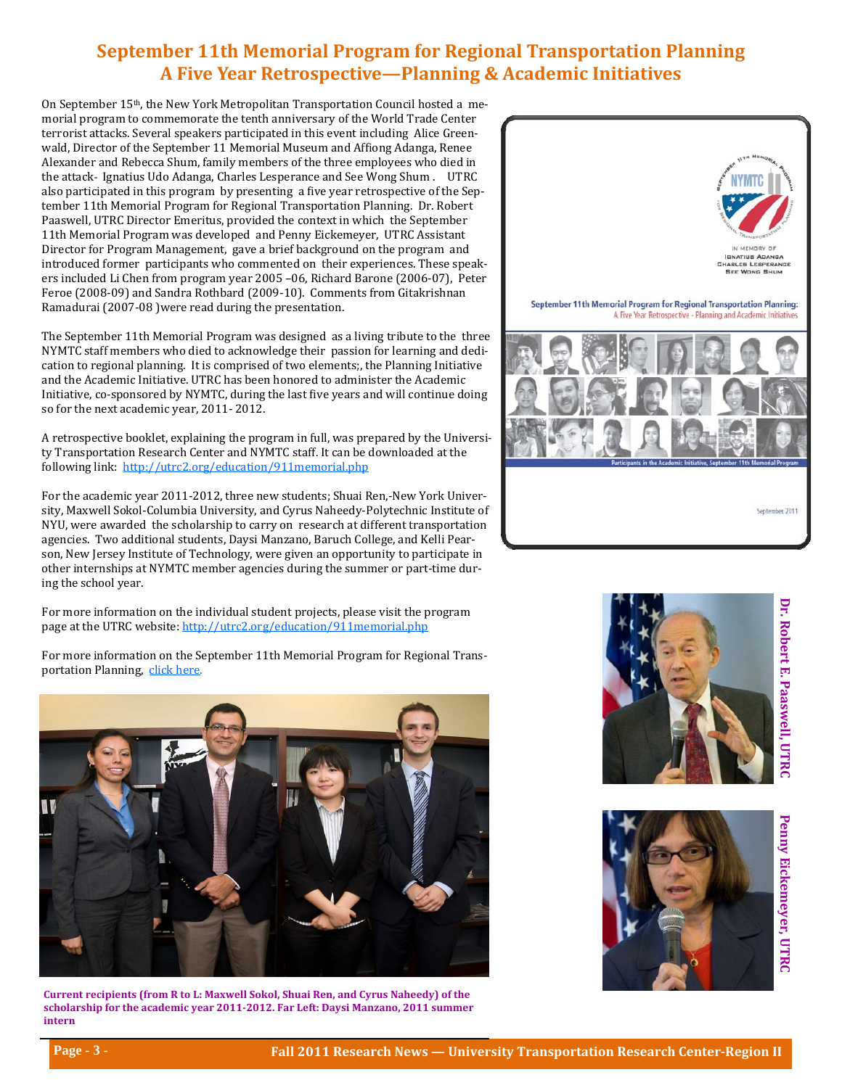## **September 11th Memorial Program for Regional Transportation Planning A Five Year Retrospective—Planning & Academic Initiatives**

On September 15<sup>th</sup>, the New York Metropolitan Transportation Council hosted a memorial program to commemorate the tenth anniversary of the World Trade Center terrorist attacks. Several speakers participated in this event including Alice Greenwald, Director of the September 11 Memorial Museum and Affiong Adanga, Renee Alexander and Rebecca Shum, family members of the three employees who died in the attack- Ignatius Udo Adanga, Charles Lesperance and See Wong Shum . UTRC also participated in this program by presenting a five year retrospective of the September 11th Memorial Program for Regional Transportation Planning. Dr. Robert Paaswell, UTRC Director Emeritus, provided the context in which the September 11th Memorial Program was developed and Penny Eickemeyer, UTRC Assistant Director for Program Management, gave a brief background on the program and introduced former participants who commented on their experiences. These speakers included Li Chen from program year 2005 -06, Richard Barone (2006-07), Peter Feroe (2008-09) and Sandra Rothbard (2009-10). Comments from Gitakrishnan Ramadurai (2007-08 ) were read during the presentation.

The September 11th Memorial Program was designed as a living tribute to the three NYMTC staff members who died to acknowledge their passion for learning and dedication to regional planning. It is comprised of two elements;, the Planning Initiative and the Academic Initiative. UTRC has been honored to administer the Academic Initiative, co-sponsored by NYMTC, during the last five years and will continue doing so for the next academic year, 2011- 2012.

A retrospective booklet, explaining the program in full, was prepared by the University Transportation Research Center and NYMTC staff. It can be downloaded at the following link: http://utrc2.org/education/911memorial.php

For the academic year 2011-2012, three new students; Shuai Ren,-New York University, Maxwell Sokol-Columbia University, and Cyrus Naheedy-Polytechnic Institute of NYU, were awarded the scholarship to carry on research at different transportation agencies. Two additional students, Daysi Manzano, Baruch College, and Kelli Pearson, New Jersey Institute of Technology, were given an opportunity to participate in other internships at NYMTC member agencies during the summer or part-time during the school year.

For more information on the individual student projects, please visit the program page at the UTRC website: http://utrc2.org/education/911memorial.php

For more information on the September 11th Memorial Program for Regional Transportation Planning, *click here.* 



**Current recipients (from R to L: Maxwell Sokol, Shuai Ren, and Cyrus Naheedy) of the scholarship for the academic year 2011‐2012. Far Left: Daysi Manzano, 2011 summer intern**





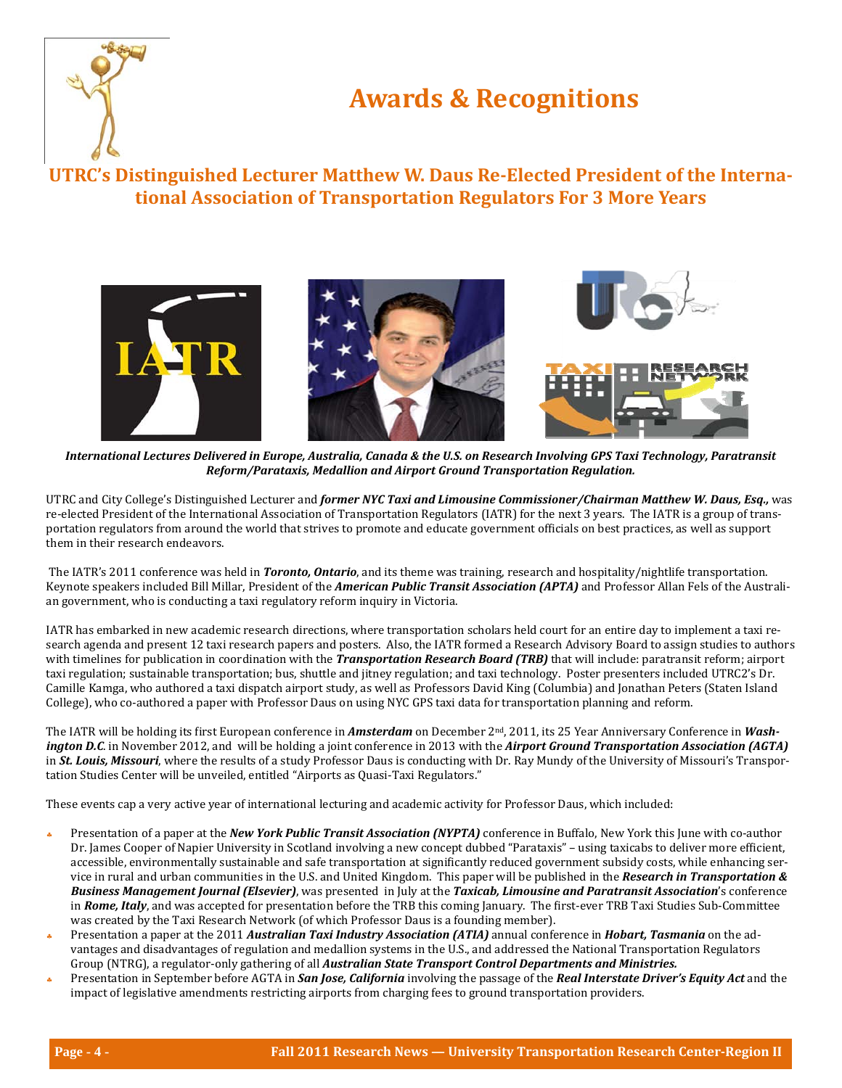

# **Awards & Recognitions**

**UTRC's Distinguished Lecturer Matthew W. Daus Re‐Elected President of the Interna‐ tional Association of Transportation Regulators For 3 More Years**



International Lectures Delivered in Europe, Australia, Canada & the U.S. on Research Involving GPS Taxi Technology, Paratransit *Reform/Parataxis, Medallion and Airport Ground Transportation Regulation.*

UTRC and City College's Distinguished Lecturer and *former NYC Taxi and Limousine Commissioner/Chairman Matthew W. Daus, Esq., was* re-elected President of the International Association of Transportation Regulators (IATR) for the next 3 years. The IATR is a group of transportation regulators from around the world that strives to promote and educate government officials on best practices, as well as support them in their research endeavors.

The IATR's 2011 conference was held in *Toronto, Ontario*, and its theme was training, research and hospitality/nightlife transportation. Keynote speakers included Bill Millar, President of the *American Public Transit Association (APTA)* and Professor Allan Fels of the Australian government, who is conducting a taxi regulatory reform inquiry in Victoria.

IATR has embarked in new academic research directions, where transportation scholars held court for an entire day to implement a taxi research agenda and present 12 taxi research papers and posters. Also, the IATR formed a Research Advisory Board to assign studies to authors with timelines for publication in coordination with the *Transportation Research Board (TRB)* that will include: paratransit reform; airport taxi regulation; sustainable transportation; bus, shuttle and jitney regulation; and taxi technology. Poster presenters included UTRC2's Dr. Camille Kamga, who authored a taxi dispatch airport study, as well as Professors David King (Columbia) and Jonathan Peters (Staten Island College), who co-authored a paper with Professor Daus on using NYC GPS taxi data for transportation planning and reform.

The IATR will be holding its first European conference in *Amsterdam* on December 2<sup>nd</sup>, 2011, its 25 Year Anniversary Conference in Wash*ington D.C.* in November 2012, and will be holding a joint conference in 2013 with the Airport Ground Transportation Association (AGTA) in **St. Louis, Missouri**, where the results of a study Professor Daus is conducting with Dr. Ray Mundy of the University of Missouri's Transportation Studies Center will be unveiled, entitled "Airports as Quasi-Taxi Regulators."

These events cap a very active year of international lecturing and academic activity for Professor Daus, which included:

- Presentation of a paper at the *New York Public Transit Association (NYPTA)* conference in Buffalo, New York this June with co-author Dr. James Cooper of Napier University in Scotland involving a new concept dubbed "Parataxis" – using taxicabs to deliver more efficient, accessible, environmentally sustainable and safe transportation at significantly reduced government subsidy costs, while enhancing service in rural and urban communities in the U.S. and United Kingdom. This paper will be published in the *Research in Transportation* & *Business Management Journal (Elsevier)*, was presented in July at the *Taxicab, Limousine and Paratransit Association*'s conference in *Rome, Italy*, and was accepted for presentation before the TRB this coming January. The first-ever TRB Taxi Studies Sub-Committee was created by the Taxi Research Network (of which Professor Daus is a founding member).
- Presentation a paper at the 2011 *Australian Taxi Industry Association* (ATIA) annual conference in *Hobart, Tasmania* on the advantages and disadvantages of regulation and medallion systems in the U.S., and addressed the National Transportation Regulators Group (NTRG), a regulator-only gathering of all *Australian State Transport Control Departments and Ministries.*
- Presentation in September before AGTA in *San Jose, California* involving the passage of the **Real Interstate Driver's Equity Act** and the impact of legislative amendments restricting airports from charging fees to ground transportation providers.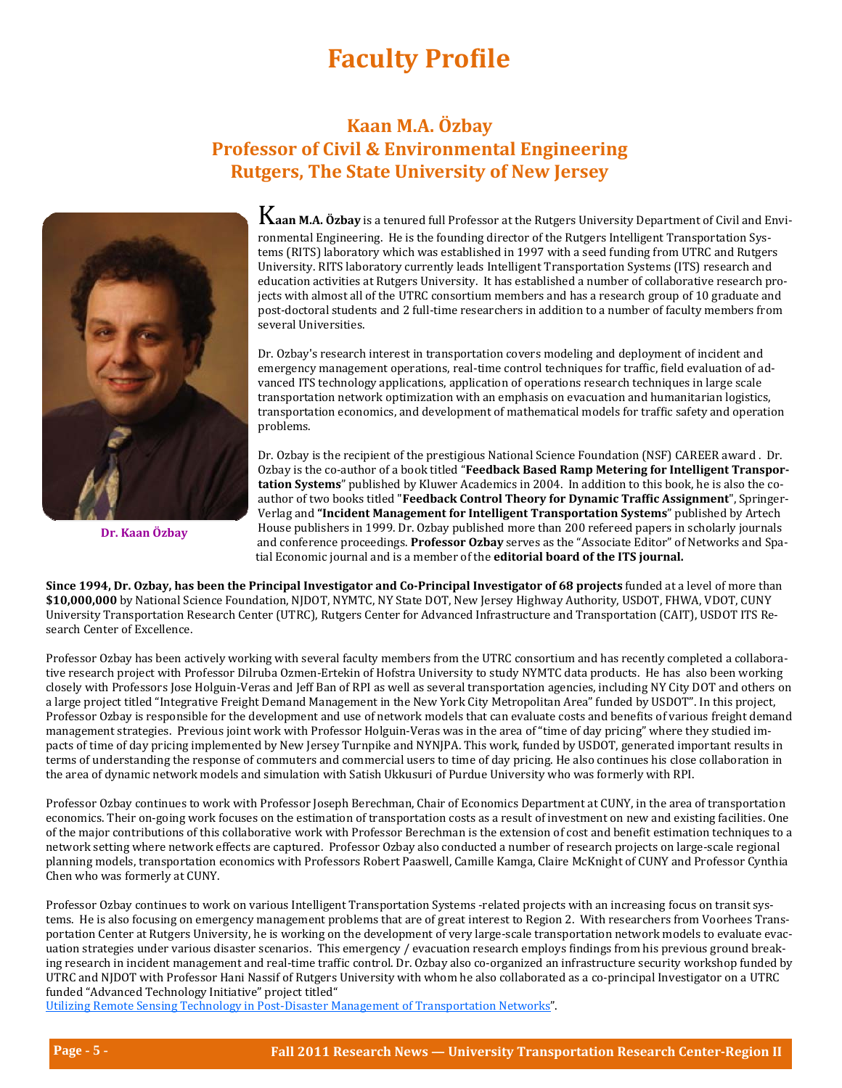# **Faculty Profile**

## **Kaan M.A. Özbay Professor of Civil & Environmental Engineering Rutgers, The State University of New Jersey**



 ${\bf K}$ aan M.A. Özbay is a tenured full Professor at the Rutgers University Department of Civil and Environmental Engineering. He is the founding director of the Rutgers Intelligent Transportation Systems (RITS) laboratory which was established in 1997 with a seed funding from UTRC and Rutgers University. RITS laboratory currently leads Intelligent Transportation Systems (ITS) research and education activities at Rutgers University. It has established a number of collaborative research projects with almost all of the UTRC consortium members and has a research group of 10 graduate and post-doctoral students and 2 full-time researchers in addition to a number of faculty members from several Universities.

Dr. Ozbay's research interest in transportation covers modeling and deployment of incident and emergency management operations, real-time control techniques for traffic, field evaluation of advanced ITS technology applications, application of operations research techniques in large scale transportation network optimization with an emphasis on evacuation and humanitarian logistics, transportation economics, and development of mathematical models for traffic safety and operation problems. 

Dr. Ozbay is the recipient of the prestigious National Science Foundation (NSF) CAREER award . Dr. Ozbay is the co-author of a book titled "Feedback Based Ramp Metering for Intelligent Transpor**tation Systems**" published by Kluwer Academics in 2004. In addition to this book, he is also the coauthor of two books titled "**Feedback Control Theory for Dynamic Trafϐic Assignment**", Springer-Verlag and **"Incident Management for Intelligent Transportation Systems**" published by Artech House publishers in 1999. Dr. Ozbay published more than 200 refereed papers in scholarly journals and conference proceedings. Professor Ozbay serves as the "Associate Editor" of Networks and Spatial Economic journal and is a member of the **editorial board of the ITS** journal.

Since 1994, Dr. Ozbay, has been the Principal Investigator and Co-Principal Investigator of 68 projects funded at a level of more than \$10,000,000 by National Science Foundation, NJDOT, NYMTC, NY State DOT, New Jersey Highway Authority, USDOT, FHWA, VDOT, CUNY University Transportation Research Center (UTRC), Rutgers Center for Advanced Infrastructure and Transportation (CAIT), USDOT ITS Research Center of Excellence.

Professor Ozbay has been actively working with several faculty members from the UTRC consortium and has recently completed a collaborative research project with Professor Dilruba Ozmen-Ertekin of Hofstra University to study NYMTC data products. He has also been working closely with Professors Jose Holguin-Veras and Jeff Ban of RPI as well as several transportation agencies, including NY City DOT and others on a large project titled "Integrative Freight Demand Management in the New York City Metropolitan Area" funded by USDOT". In this project, Professor Ozbay is responsible for the development and use of network models that can evaluate costs and benefits of various freight demand management strategies. Previous joint work with Professor Holguin-Veras was in the area of "time of day pricing" where they studied impacts of time of day pricing implemented by New Jersey Turnpike and NYNJPA. This work, funded by USDOT, generated important results in terms of understanding the response of commuters and commercial users to time of day pricing. He also continues his close collaboration in the area of dynamic network models and simulation with Satish Ukkusuri of Purdue University who was formerly with RPI.

Professor Ozbay continues to work with Professor Joseph Berechman, Chair of Economics Department at CUNY, in the area of transportation economics. Their on-going work focuses on the estimation of transportation costs as a result of investment on new and existing facilities. One of the major contributions of this collaborative work with Professor Berechman is the extension of cost and benefit estimation techniques to a network setting where network effects are captured. Professor Ozbay also conducted a number of research projects on large-scale regional planning models, transportation economics with Professors Robert Paaswell, Camille Kamga, Claire McKnight of CUNY and Professor Cynthia Chen who was formerly at CUNY.

Professor Ozbay continues to work on various Intelligent Transportation Systems -related projects with an increasing focus on transit systems. He is also focusing on emergency management problems that are of great interest to Region 2. With researchers from Voorhees Transportation Center at Rutgers University, he is working on the development of very large-scale transportation network models to evaluate evacuation strategies under various disaster scenarios. This emergency / evacuation research employs findings from his previous ground breaking research in incident management and real-time traffic control. Dr. Ozbay also co-organized an infrastructure security workshop funded by UTRC and NJDOT with Professor Hani Nassif of Rutgers University with whom he also collaborated as a co-principal Investigator on a UTRC funded "Advanced Technology Initiative" project titled"

Utilizing Remote Sensing Technology in Post-Disaster Management of Transportation Networks".

**Dr. Kaan Özbay**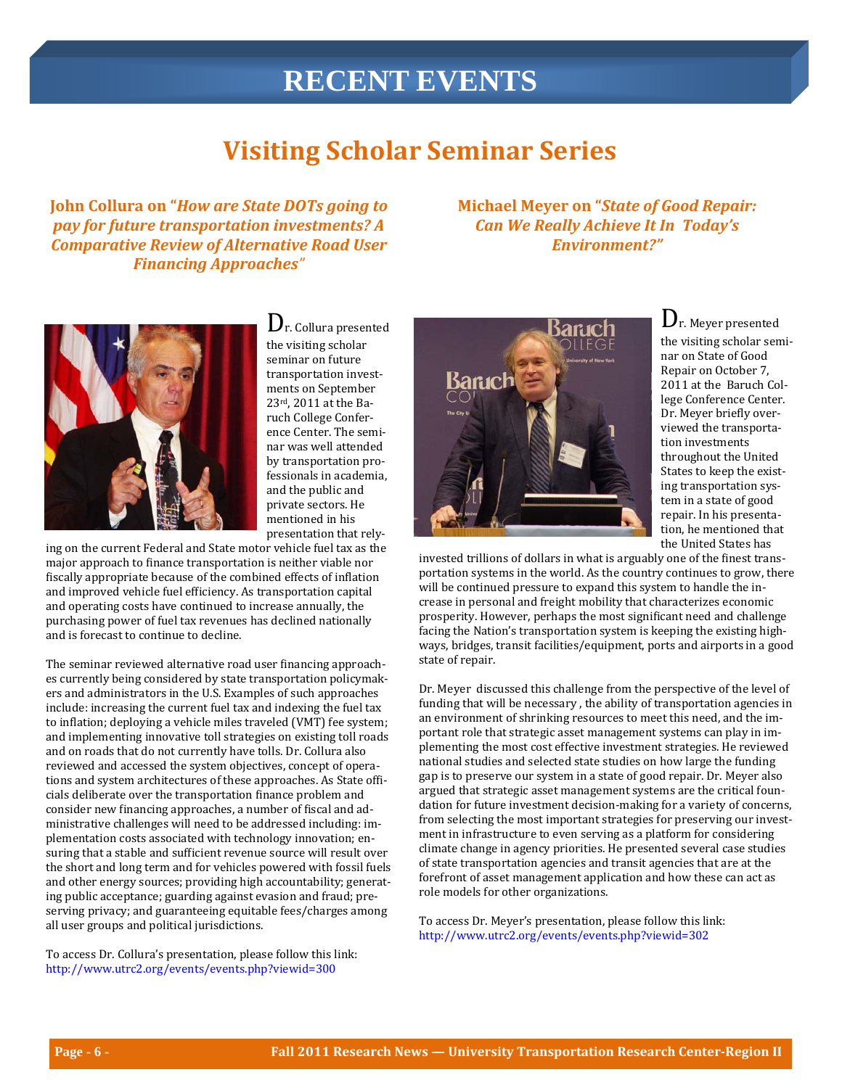# **RECENT EVENTS**

# **Visiting Scholar Seminar Series**

**John Collura on "***How are State DOTs going to pay for future transportation investments? A Comparative Review of Alternative Road User Financing Approaches"*

**Michael Meyer on "***State of Good Repair: Can We Really Achieve It In Today's Environment?"*



 $\mathbf{D}_{\text{r.}$  Collura presented the visiting scholar seminar on future transportation investments on September  $23$ <sup>rd</sup>,  $2011$  at the Baruch College Conference Center. The seminar was well attended by transportation professionals in academia, and the public and private sectors. He mentioned in his presentation that rely-

ing on the current Federal and State motor vehicle fuel tax as the major approach to finance transportation is neither viable nor fiscally appropriate because of the combined effects of inflation and improved vehicle fuel efficiency. As transportation capital and operating costs have continued to increase annually, the purchasing power of fuel tax revenues has declined nationally and is forecast to continue to decline.

The seminar reviewed alternative road user financing approaches currently being considered by state transportation policymakers and administrators in the U.S. Examples of such approaches include: increasing the current fuel tax and indexing the fuel tax to inflation; deploying a vehicle miles traveled (VMT) fee system; and implementing innovative toll strategies on existing toll roads and on roads that do not currently have tolls. Dr. Collura also reviewed and accessed the system objectives, concept of operations and system architectures of these approaches. As State officials deliberate over the transportation finance problem and consider new financing approaches, a number of fiscal and administrative challenges will need to be addressed including: implementation costs associated with technology innovation; ensuring that a stable and sufficient revenue source will result over the short and long term and for vehicles powered with fossil fuels and other energy sources; providing high accountability; generating public acceptance; guarding against evasion and fraud; preserving privacy; and guaranteeing equitable fees/charges among all user groups and political jurisdictions.

To access Dr. Collura's presentation, please follow this link: http://www.utrc2.org/events/events.php?viewid=300



 $\mathbf{D}$ r. Meyer presented the visiting scholar seminar on State of Good Repair on October 7, 2011 at the Baruch College Conference Center. Dr. Meyer briefly overviewed the transportation investments throughout the United States to keep the existing transportation system in a state of good repair. In his presentation, he mentioned that the United States has

invested trillions of dollars in what is arguably one of the finest transportation systems in the world. As the country continues to grow, there will be continued pressure to expand this system to handle the increase in personal and freight mobility that characterizes economic prosperity. However, perhaps the most significant need and challenge facing the Nation's transportation system is keeping the existing highways, bridges, transit facilities/equipment, ports and airports in a good state of repair.

Dr. Meyer discussed this challenge from the perspective of the level of funding that will be necessary, the ability of transportation agencies in an environment of shrinking resources to meet this need, and the important role that strategic asset management systems can play in implementing the most cost effective investment strategies. He reviewed national studies and selected state studies on how large the funding gap is to preserve our system in a state of good repair. Dr. Meyer also argued that strategic asset management systems are the critical foundation for future investment decision-making for a variety of concerns, from selecting the most important strategies for preserving our investment in infrastructure to even serving as a platform for considering climate change in agency priorities. He presented several case studies of state transportation agencies and transit agencies that are at the forefront of asset management application and how these can act as role models for other organizations.

To access Dr. Meyer's presentation, please follow this link: http://www.utrc2.org/events/events.php?viewid=302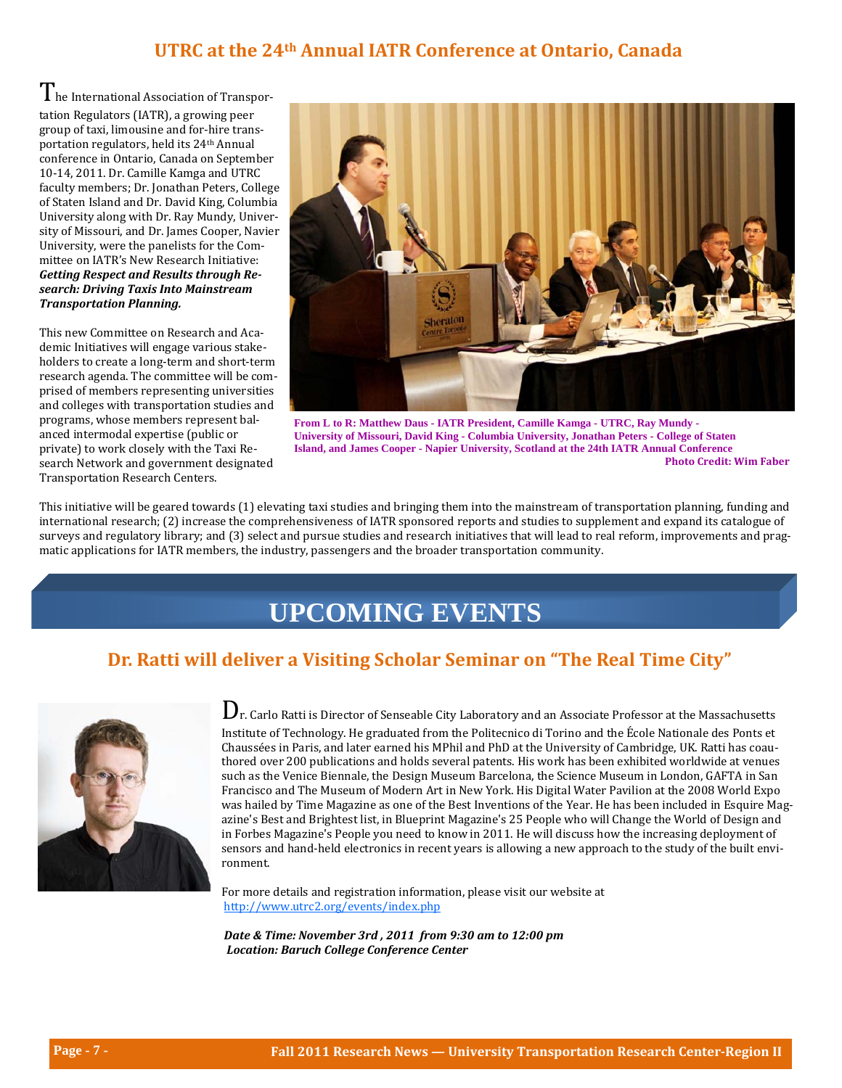### **UTRC at the 24th Annual IATR Conference at Ontario, Canada**

 $\mathbf T$ he International Association of Transpor-

tation Regulators (IATR), a growing peer group of taxi, limousine and for-hire transportation regulators, held its 24<sup>th</sup> Annual conference in Ontario, Canada on September 10-14, 2011. Dr. Camille Kamga and UTRC faculty members; Dr. Jonathan Peters, College of Staten Island and Dr. David King, Columbia University along with Dr. Ray Mundy, University of Missouri, and Dr. James Cooper, Navier University, were the panelists for the Committee on IATR's New Research Initiative: *Getting Respect and Results through Research: Driving Taxis Into Mainstream* **Transportation Planning.** 

This new Committee on Research and Academic Initiatives will engage various stakeholders to create a long-term and short-term research agenda. The committee will be comprised of members representing universities and colleges with transportation studies and programs, whose members represent balanced intermodal expertise (public or private) to work closely with the Taxi Research Network and government designated Transportation Research Centers. 



**From L to R: Matthew Daus - IATR President, Camille Kamga - UTRC, Ray Mundy - University of Missouri, David King - Columbia University, Jonathan Peters - College of Staten Island, and James Cooper - Napier University, Scotland at the 24th IATR Annual Conference Photo Credit: Wim Faber**

This initiative will be geared towards (1) elevating taxi studies and bringing them into the mainstream of transportation planning, funding and international research; (2) increase the comprehensiveness of IATR sponsored reports and studies to supplement and expand its catalogue of surveys and regulatory library; and (3) select and pursue studies and research initiatives that will lead to real reform, improvements and pragmatic applications for IATR members, the industry, passengers and the broader transportation community.

# **UPCOMING EVENTS**

## **Dr. Ratti will deliver a Visiting Scholar Seminar on "The Real Time City"**



 $\mathbf{D}$ r. Carlo Ratti is Director of Senseable City Laboratory and an Associate Professor at the Massachusetts Institute of Technology. He graduated from the Politecnico di Torino and the École Nationale des Ponts et Chaussées in Paris, and later earned his MPhil and PhD at the University of Cambridge, UK. Ratti has coauthored over 200 publications and holds several patents. His work has been exhibited worldwide at venues such as the Venice Biennale, the Design Museum Barcelona, the Science Museum in London, GAFTA in San Francisco and The Museum of Modern Art in New York. His Digital Water Pavilion at the 2008 World Expo was hailed by Time Magazine as one of the Best Inventions of the Year. He has been included in Esquire Magazine's Best and Brightest list, in Blueprint Magazine's 25 People who will Change the World of Design and in Forbes Magazine's People you need to know in 2011. He will discuss how the increasing deployment of sensors and hand-held electronics in recent years is allowing a new approach to the study of the built environment. 

For more details and registration information, please visit our website at http://www.utrc2.org/events/index.php

*Date & Time: November 3rd , 2011 from 9:30 am to 12:00 pm Location: Baruch College Conference Center*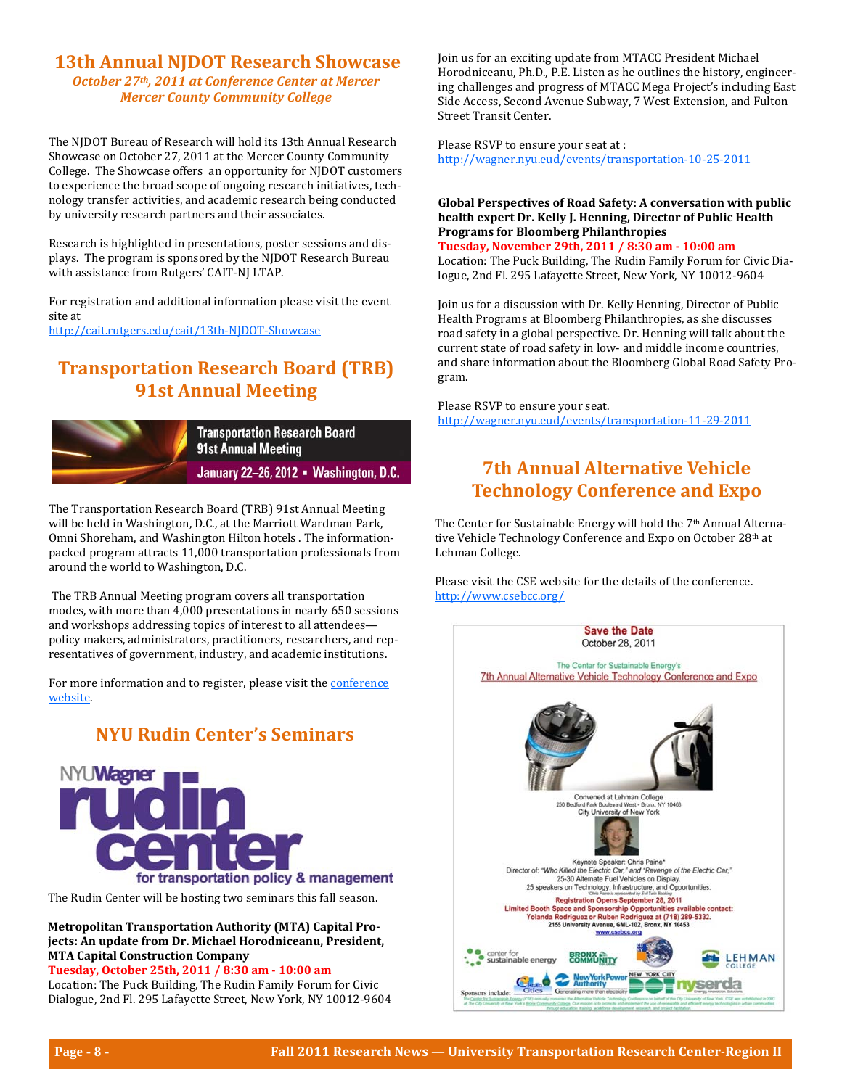### **13th Annual NJDOT Research Showcase**

*October 27th, 2011 at Conference Center at Mercer Mercer County Community College*

The NIDOT Bureau of Research will hold its 13th Annual Research Showcase on October 27, 2011 at the Mercer County Community College. The Showcase offers an opportunity for NJDOT customers to experience the broad scope of ongoing research initiatives, technology transfer activities, and academic research being conducted by university research partners and their associates.

Research is highlighted in presentations, poster sessions and displays. The program is sponsored by the NJDOT Research Bureau with assistance from Rutgers' CAIT-NJ LTAP.

For registration and additional information please visit the event site at

http://cait.rutgers.edu/cait/13th-NJDOT-Showcase

## **Transportation Research Board (TRB) 91st Annual Meeting**



The Transportation Research Board (TRB) 91st Annual Meeting will be held in Washington, D.C., at the Marriott Wardman Park, Omni Shoreham, and Washington Hilton hotels . The informationpacked program attracts 11,000 transportation professionals from around the world to Washington, D.C.

The TRB Annual Meeting program covers all transportation modes, with more than 4,000 presentations in nearly 650 sessions and workshops addressing topics of interest to all attendeespolicy makers, administrators, practitioners, researchers, and representatives of government, industry, and academic institutions.

For more information and to register, please visit the conference website. 

## **NYU Rudin Center's Seminars**



The Rudin Center will be hosting two seminars this fall season.

**Metropolitan Transportation Authority (MTA) Capital Pro‐ jects: An update from Dr. Michael Horodniceanu, President, MTA Capital Construction Company** 

**Tuesday, October 25th, 2011 / 8:30 am ‐ 10:00 am** Location: The Puck Building, The Rudin Family Forum for Civic Dialogue, 2nd Fl. 295 Lafayette Street, New York, NY 10012-9604 Join us for an exciting update from MTACC President Michael Horodniceanu, Ph.D., P.E. Listen as he outlines the history, engineering challenges and progress of MTACC Mega Project's including East Side Access, Second Avenue Subway, 7 West Extension, and Fulton Street Transit Center.

Please RSVP to ensure your seat at : [http://wagner.nyu.eud/events/transportation-10-25-2011](http://wagner.nyu.edu/events/transportation-10-25-2011)

### **Global Perspectives of Road Safety: A conversation with public health expert Dr. Kelly J. Henning, Director of Public Health Programs for Bloomberg Philanthropies**

#### **Tuesday, November 29th, 2011 / 8:30 am ‐ 10:00 am**

Location: The Puck Building, The Rudin Family Forum for Civic Dialogue, 2nd Fl. 295 Lafayette Street, New York, NY 10012-9604

Join us for a discussion with Dr. Kelly Henning, Director of Public Health Programs at Bloomberg Philanthropies, as she discusses road safety in a global perspective. Dr. Henning will talk about the current state of road safety in low- and middle income countries, and share information about the Bloomberg Global Road Safety Program. 

Please RSVP to ensure your seat. [http://wagner.nyu.eud/events/transportation-11-29-2011](http://wagner.nyu.edu/events/transportation-11-29-2011)

## **7th Annual Alternative Vehicle Technology Conference and Expo**

The Center for Sustainable Energy will hold the 7<sup>th</sup> Annual Alternative Vehicle Technology Conference and Expo on October 28<sup>th</sup> at Lehman College.

Please visit the CSE website for the details of the conference. http://www.csebcc.org/

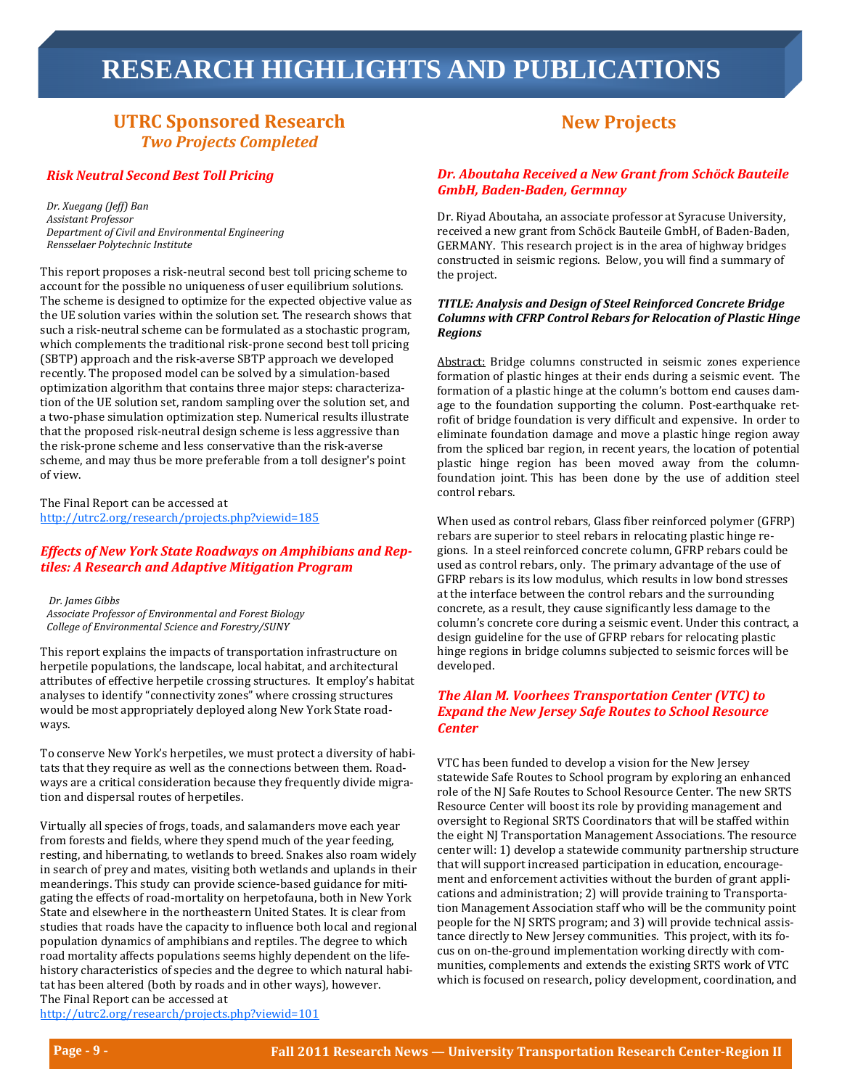## **RESEARCH HIGHLIGHTS AND PUBLICATIONS**

### **UTRC Sponsored Research**  *Two Projects Completed*

#### *Risk Neutral Second Best Toll Pricing*

*Dr. Xuegang (Jeff) Ban Assistant Professor Department of Civil and Environmental Engineering Rensselaer Polytechnic Institute*

This report proposes a risk-neutral second best toll pricing scheme to account for the possible no uniqueness of user equilibrium solutions. The scheme is designed to optimize for the expected objective value as the UE solution varies within the solution set. The research shows that such a risk-neutral scheme can be formulated as a stochastic program, which complements the traditional risk-prone second best toll pricing (SBTP) approach and the risk-averse SBTP approach we developed recently. The proposed model can be solved by a simulation-based optimization algorithm that contains three major steps: characterization of the UE solution set, random sampling over the solution set, and a two-phase simulation optimization step. Numerical results illustrate that the proposed risk-neutral design scheme is less aggressive than the risk-prone scheme and less conservative than the risk-averse scheme, and may thus be more preferable from a toll designer's point of view.

The Final Report can be accessed at http://utrc2.org/research/projects.php?viewid=185

### *Effects of New York State Roadways on Amphibians and Reptiles: A Research and Adaptive Mitigation Program*

*Dr. James Gibbs Associate Professor of Environmental and Forest Biology College of Environmental Science and Forestry/SUNY*

This report explains the impacts of transportation infrastructure on herpetile populations, the landscape, local habitat, and architectural attributes of effective herpetile crossing structures. It employ's habitat analyses to identify "connectivity zones" where crossing structures would be most appropriately deployed along New York State roadways. 

To conserve New York's herpetiles, we must protect a diversity of habitats that they require as well as the connections between them. Roadways are a critical consideration because they frequently divide migration and dispersal routes of herpetiles.

Virtually all species of frogs, toads, and salamanders move each year from forests and fields, where they spend much of the year feeding, resting, and hibernating, to wetlands to breed. Snakes also roam widely in search of prey and mates, visiting both wetlands and uplands in their meanderings. This study can provide science-based guidance for mitigating the effects of road-mortality on herpetofauna, both in New York State and elsewhere in the northeastern United States. It is clear from studies that roads have the capacity to influence both local and regional population dynamics of amphibians and reptiles. The degree to which road mortality affects populations seems highly dependent on the lifehistory characteristics of species and the degree to which natural habitat has been altered (both by roads and in other ways), however. The Final Report can be accessed at

### **New Projects**

### *Dr. Aboutaha Received a New Grant from Schöck Bauteile GmbH, Baden-Baden, Germnay*

Dr. Riyad Aboutaha, an associate professor at Syracuse University, received a new grant from Schöck Bauteile GmbH, of Baden-Baden, GERMANY. This research project is in the area of highway bridges constructed in seismic regions. Below, you will find a summary of the project.

#### *TITLE: Analysis and Design of Steel Reinforced Concrete Bridge Columns with CFRP Control Rebars for Relocation of Plastic Hinge Regions*

Abstract: Bridge columns constructed in seismic zones experience formation of plastic hinges at their ends during a seismic event. The formation of a plastic hinge at the column's bottom end causes damage to the foundation supporting the column. Post-earthquake retrofit of bridge foundation is very difficult and expensive. In order to eliminate foundation damage and move a plastic hinge region away from the spliced bar region, in recent years, the location of potential plastic hinge region has been moved away from the columnfoundation joint. This has been done by the use of addition steel control rebars.

When used as control rebars, Glass fiber reinforced polymer (GFRP) rebars are superior to steel rebars in relocating plastic hinge regions. In a steel reinforced concrete column, GFRP rebars could be used as control rebars, only. The primary advantage of the use of GFRP rebars is its low modulus, which results in low bond stresses at the interface between the control rebars and the surrounding concrete, as a result, they cause significantly less damage to the column's concrete core during a seismic event. Under this contract, a design guideline for the use of GFRP rebars for relocating plastic hinge regions in bridge columns subjected to seismic forces will be developed. 

### *The Alan M. Voorhees Transportation Center (VTC) to Expand the New Jersey Safe Routes to School Resource Center*

VTC has been funded to develop a vision for the New Jersey statewide Safe Routes to School program by exploring an enhanced role of the NJ Safe Routes to School Resource Center. The new SRTS Resource Center will boost its role by providing management and oversight to Regional SRTS Coordinators that will be staffed within the eight NJ Transportation Management Associations. The resource center will: 1) develop a statewide community partnership structure that will support increased participation in education, encouragement and enforcement activities without the burden of grant applications and administration; 2) will provide training to Transportation Management Association staff who will be the community point people for the NJ SRTS program; and 3) will provide technical assistance directly to New Jersey communities. This project, with its focus on on-the-ground implementation working directly with communities, complements and extends the existing SRTS work of VTC which is focused on research, policy development, coordination, and

http://utrc2.org/research/projects.php?viewid=101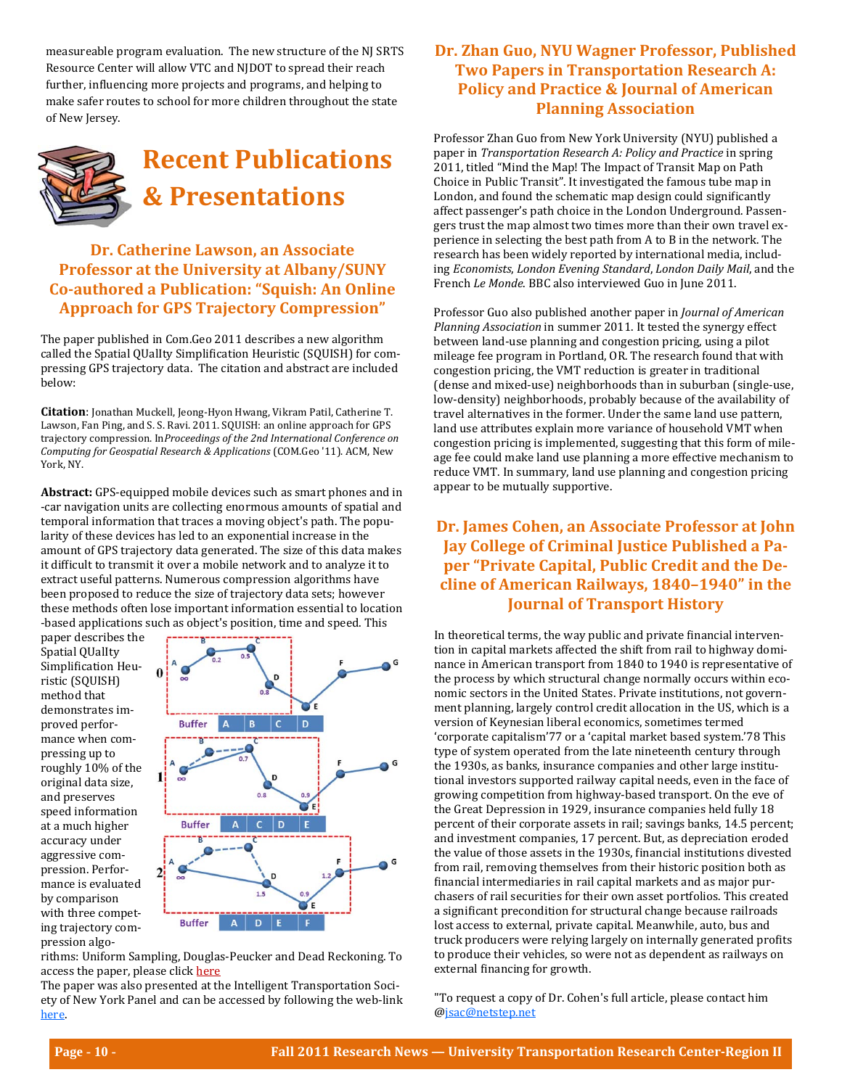measureable program evaluation. The new structure of the NJ SRTS Resource Center will allow VTC and NJDOT to spread their reach further, influencing more projects and programs, and helping to make safer routes to school for more children throughout the state of New Jersey.



### **Dr.** Catherine Lawson, an Associate **Professor at the University at Albany/SUNY Co‐authored a Publication: "Squish: An Online Approach for GPS Trajectory Compression"**

The paper published in Com.Geo 2011 describes a new algorithm called the Spatial QUalIty Simplification Heuristic (SQUISH) for compressing GPS trajectory data. The citation and abstract are included below: 

**Citation**: Jonathan Muckell, Jeong-Hyon Hwang, Vikram Patil, Catherine T. Lawson, Fan Ping, and S. S. Ravi. 2011. SQUISH: an online approach for GPS trajectory compression. In*Proceedings of the 2nd International Conference on Computing for Geospatial Research & Applications* (COM.Geo '11). ACM, New York, NY.

Abstract: GPS-equipped mobile devices such as smart phones and in -car navigation units are collecting enormous amounts of spatial and temporal information that traces a moving object's path. The popularity of these devices has led to an exponential increase in the amount of GPS trajectory data generated. The size of this data makes it difficult to transmit it over a mobile network and to analyze it to extract useful patterns. Numerous compression algorithms have been proposed to reduce the size of trajectory data sets; however these methods often lose important information essential to location -based applications such as object's position, time and speed. This

paper describes the Spatial QUalIty Simplification Heuristic (SQUISH) method that demonstrates improved performance when compressing up to roughly 10% of the original data size, and preserves speed information at a much higher accuracy under aggressive compression. Performance is evaluated by comparison with three competing trajectory compression algo-



rithms: Uniform Sampling, Douglas-Peucker and Dead Reckoning. To access the paper, please click [here](http://dl.acm.org/citation.cfm?id=1999333&bnc=1)

The paper was also presented at the Intelligent Transportation Society of New York Panel and can be accessed by following the web-link [here](http://www.its-ny.org/pdf/Muckell-GPS.pdf). 

### **Dr. Zhan Guo, NYU Wagner Professor, Published Two Papers in Transportation Research A: Policy** and **Practice** & **Journal** of **American Planning Association**

Professor Zhan Guo from New York University (NYU) published a paper in *Transportation Research A: Policy and Practice* in spring 2011, titled "Mind the Map! The Impact of Transit Map on Path Choice in Public Transit". It investigated the famous tube map in London, and found the schematic map design could significantly affect passenger's path choice in the London Underground. Passengers trust the map almost two times more than their own travel experience in selecting the best path from A to B in the network. The research has been widely reported by international media, including *Economists*, *London Evening Standard*, *London Daily Mail*, and the French *Le Monde*. BBC also interviewed Guo in June 2011.

Professor Guo also published another paper in *Journal of American Planning Association* in summer 2011. It tested the synergy effect between land-use planning and congestion pricing, using a pilot mileage fee program in Portland, OR. The research found that with congestion pricing, the VMT reduction is greater in traditional (dense and mixed-use) neighborhoods than in suburban (single-use, low-density) neighborhoods, probably because of the availability of travel alternatives in the former. Under the same land use pattern, land use attributes explain more variance of household VMT when congestion pricing is implemented, suggesting that this form of mileage fee could make land use planning a more effective mechanism to reduce VMT. In summary, land use planning and congestion pricing appear to be mutually supportive.

### **Dr. James Cohen, an Associate Professor at John Jay College of Criminal Justice Published a Pa‐ per "Private Capital, Public Credit and the De‐ cline of American Railways, 1840–1940" in the Journal of Transport History**

In theoretical terms, the way public and private financial intervention in capital markets affected the shift from rail to highway dominance in American transport from 1840 to 1940 is representative of the process by which structural change normally occurs within economic sectors in the United States. Private institutions, not government planning, largely control credit allocation in the US, which is a version of Keynesian liberal economics, sometimes termed 'corporate capitalism'77 or a 'capital market based system.'78 This type of system operated from the late nineteenth century through the 1930s, as banks, insurance companies and other large institutional investors supported railway capital needs, even in the face of growing competition from highway-based transport. On the eve of the Great Depression in 1929, insurance companies held fully 18 percent of their corporate assets in rail; savings banks, 14.5 percent; and investment companies, 17 percent. But, as depreciation eroded the value of those assets in the 1930s, financial institutions divested from rail, removing themselves from their historic position both as financial intermediaries in rail capital markets and as major purchasers of rail securities for their own asset portfolios. This created a significant precondition for structural change because railroads lost access to external, private capital. Meanwhile, auto, bus and truck producers were relying largely on internally generated profits to produce their vehicles, so were not as dependent as railways on external financing for growth.

"To request a copy of Dr. Cohen's full article, please contact him @[jsac@netstep.net](mailto:jsac@netstep.net)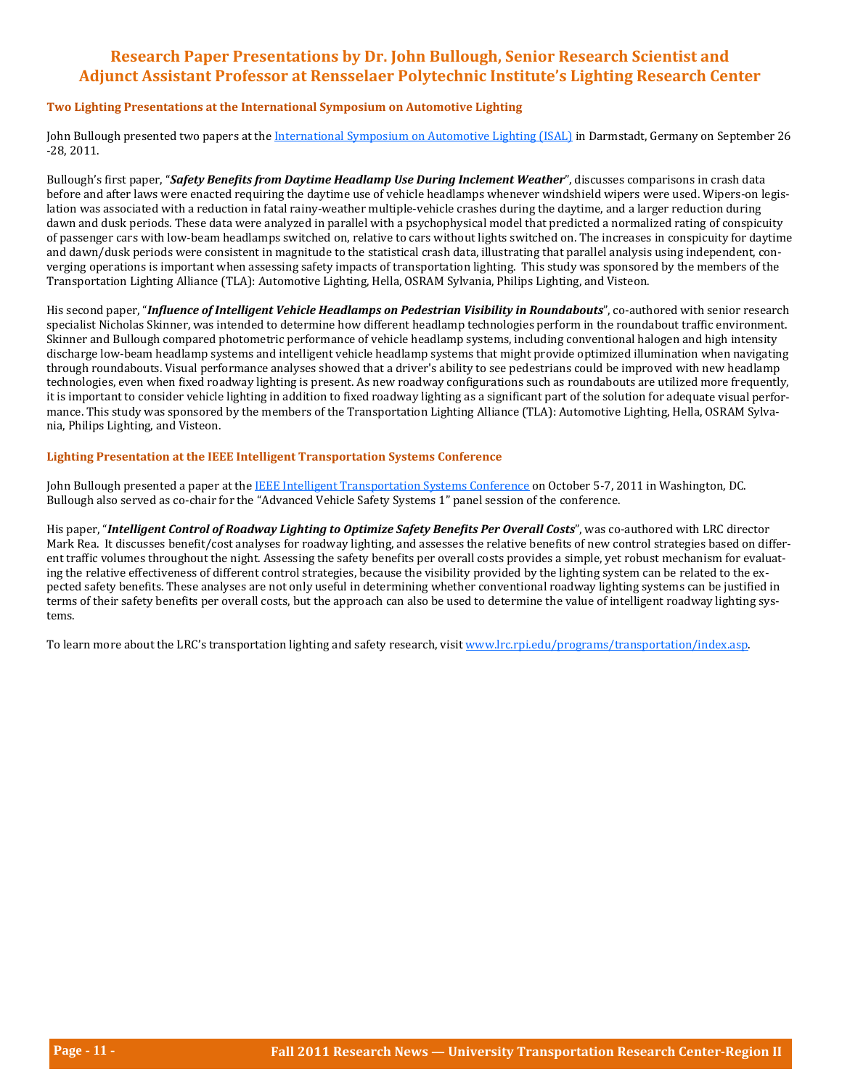### **Research Paper Presentations by Dr. John Bullough, Senior Research Scientist and Adjunct Assistant Professor at Rensselaer Polytechnic Institute's Lighting Research Center**

### **Two Lighting Presentations at the International Symposium on Automotive Lighting**

John Bullough presented two papers at the International Symposium on Automotive Lighting (ISAL) in Darmstadt, Germany on September 26 -28, 2011. 

Bullough's first paper, "Safety Benefits from Daytime Headlamp Use During Inclement Weather", discusses comparisons in crash data before and after laws were enacted requiring the daytime use of vehicle headlamps whenever windshield wipers were used. Wipers-on legislation was associated with a reduction in fatal rainy-weather multiple-vehicle crashes during the daytime, and a larger reduction during dawn and dusk periods. These data were analyzed in parallel with a psychophysical model that predicted a normalized rating of conspicuity of passenger cars with low-beam headlamps switched on, relative to cars without lights switched on. The increases in conspicuity for daytime and dawn/dusk periods were consistent in magnitude to the statistical crash data, illustrating that parallel analysis using independent, converging operations is important when assessing safety impacts of transportation lighting. This study was sponsored by the members of the Transportation Lighting Alliance (TLA): Automotive Lighting, Hella, OSRAM Sylvania, Philips Lighting, and Visteon.

His second paper, "*Influence of Intelligent Vehicle Headlamps on Pedestrian Visibility in Roundabouts", co-authored with senior research* specialist Nicholas Skinner, was intended to determine how different headlamp technologies perform in the roundabout traffic environment. Skinner and Bullough compared photometric performance of vehicle headlamp systems, including conventional halogen and high intensity discharge low-beam headlamp systems and intelligent vehicle headlamp systems that might provide optimized illumination when navigating through roundabouts. Visual performance analyses showed that a driver's ability to see pedestrians could be improved with new headlamp technologies, even when fixed roadway lighting is present. As new roadway configurations such as roundabouts are utilized more frequently, it is important to consider vehicle lighting in addition to fixed roadway lighting as a significant part of the solution for adequate visual perfor-<br> mance. This study was sponsored by the members of the Transportation Lighting Alliance (TLA): Automotive Lighting, Hella, OSRAM Sylvania, Philips Lighting, and Visteon.

#### **Lighting Presentation at the IEEE Intelligent Transportation Systems Conference**

John Bullough presented a paper at the IEEE Intelligent Transportation Systems Conference on October 5-7, 2011 in Washington, DC. Bullough also served as co-chair for the "Advanced Vehicle Safety Systems 1" panel session of the conference.

His paper, "Intelligent Control of Roadway Lighting to Optimize Safety Benefits Per Overall Costs", was co-authored with LRC director Mark Rea. It discusses benefit/cost analyses for roadway lighting, and assesses the relative benefits of new control strategies based on different traffic volumes throughout the night. Assessing the safety benefits per overall costs provides a simple, yet robust mechanism for evaluating the relative effectiveness of different control strategies, because the visibility provided by the lighting system can be related to the expected safety benefits. These analyses are not only useful in determining whether conventional roadway lighting systems can be justified in terms of their safety benefits per overall costs, but the approach can also be used to determine the value of intelligent roadway lighting systems. 

To learn more about the LRC's transportation lighting and safety research, visit www.lrc.rpi.edu/programs/transportation/index.asp.